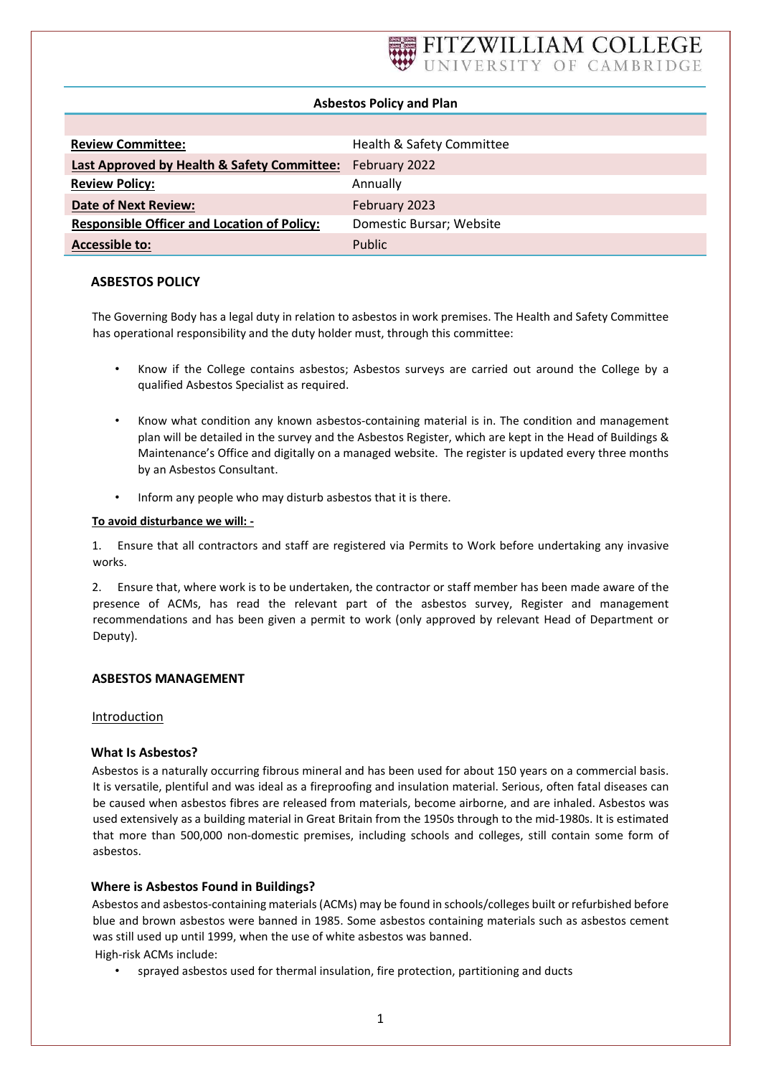# Asbestos Policy and Plan

| <b>Review Committee:</b>                           | Health & Safety Committee |
|----------------------------------------------------|---------------------------|
| Last Approved by Health & Safety Committee:        | February 2022             |
| <b>Review Policy:</b>                              | Annually                  |
| <b>Date of Next Review:</b>                        | February 2023             |
| <b>Responsible Officer and Location of Policy:</b> | Domestic Bursar; Website  |
| <b>Accessible to:</b>                              | <b>Public</b>             |

# ASBESTOS POLICY

The Governing Body has a legal duty in relation to asbestos in work premises. The Health and Safety Committee has operational responsibility and the duty holder must, through this committee:

- Know if the College contains asbestos; Asbestos surveys are carried out around the College by a qualified Asbestos Specialist as required.
- Know what condition any known asbestos-containing material is in. The condition and management plan will be detailed in the survey and the Asbestos Register, which are kept in the Head of Buildings & Maintenance's Office and digitally on a managed website. The register is updated every three months by an Asbestos Consultant.
- Inform any people who may disturb asbestos that it is there.

## To avoid disturbance we will: -

1. Ensure that all contractors and staff are registered via Permits to Work before undertaking any invasive works.

2. Ensure that, where work is to be undertaken, the contractor or staff member has been made aware of the presence of ACMs, has read the relevant part of the asbestos survey, Register and management recommendations and has been given a permit to work (only approved by relevant Head of Department or Deputy).

# ASBESTOS MANAGEMENT

Introduction

# What Is Asbestos?

Asbestos is a naturally occurring fibrous mineral and has been used for about 150 years on a commercial basis. It is versatile, plentiful and was ideal as a fireproofing and insulation material. Serious, often fatal diseases can be caused when asbestos fibres are released from materials, become airborne, and are inhaled. Asbestos was used extensively as a building material in Great Britain from the 1950s through to the mid-1980s. It is estimated that more than 500,000 non-domestic premises, including schools and colleges, still contain some form of asbestos.

# Where is Asbestos Found in Buildings?

Asbestos and asbestos-containing materials (ACMs) may be found in schools/colleges built or refurbished before blue and brown asbestos were banned in 1985. Some asbestos containing materials such as asbestos cement was still used up until 1999, when the use of white asbestos was banned. High-risk ACMs include:

• sprayed asbestos used for thermal insulation, fire protection, partitioning and ducts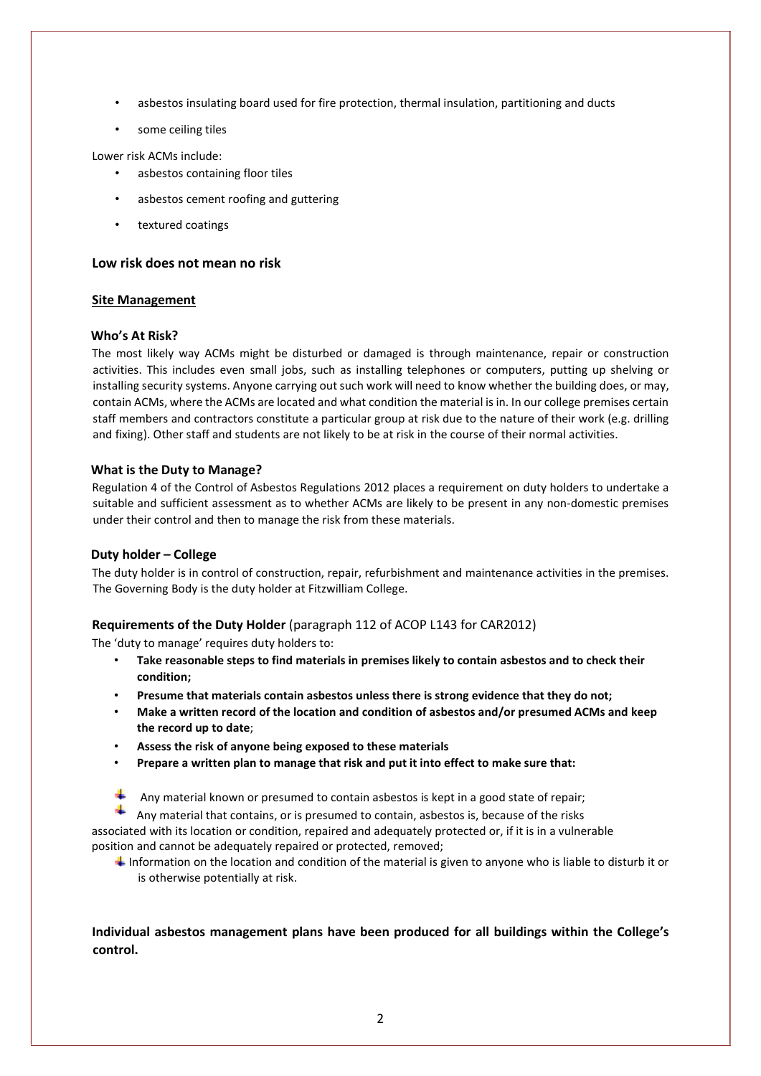- asbestos insulating board used for fire protection, thermal insulation, partitioning and ducts
- some ceiling tiles

Lower risk ACMs include:

- asbestos containing floor tiles
- asbestos cement roofing and guttering
- textured coatings

#### Low risk does not mean no risk

#### Site Management

#### Who's At Risk?

The most likely way ACMs might be disturbed or damaged is through maintenance, repair or construction activities. This includes even small jobs, such as installing telephones or computers, putting up shelving or installing security systems. Anyone carrying out such work will need to know whether the building does, or may, contain ACMs, where the ACMs are located and what condition the material is in. In our college premises certain staff members and contractors constitute a particular group at risk due to the nature of their work (e.g. drilling and fixing). Other staff and students are not likely to be at risk in the course of their normal activities.

### What is the Duty to Manage?

Regulation 4 of the Control of Asbestos Regulations 2012 places a requirement on duty holders to undertake a suitable and sufficient assessment as to whether ACMs are likely to be present in any non-domestic premises under their control and then to manage the risk from these materials.

### Duty holder – College

The duty holder is in control of construction, repair, refurbishment and maintenance activities in the premises. The Governing Body is the duty holder at Fitzwilliam College.

### Requirements of the Duty Holder (paragraph 112 of ACOP L143 for CAR2012)

The 'duty to manage' requires duty holders to:

- Take reasonable steps to find materials in premises likely to contain asbestos and to check their condition;
- Presume that materials contain asbestos unless there is strong evidence that they do not;
- Make a written record of the location and condition of asbestos and/or presumed ACMs and keep the record up to date;
- Assess the risk of anyone being exposed to these materials
- Prepare a written plan to manage that risk and put it into effect to make sure that:
- Any material known or presumed to contain asbestos is kept in a good state of repair;

Any material that contains, or is presumed to contain, asbestos is, because of the risks

associated with its location or condition, repaired and adequately protected or, if it is in a vulnerable position and cannot be adequately repaired or protected, removed;

Information on the location and condition of the material is given to anyone who is liable to disturb it or is otherwise potentially at risk.

Individual asbestos management plans have been produced for all buildings within the College's control.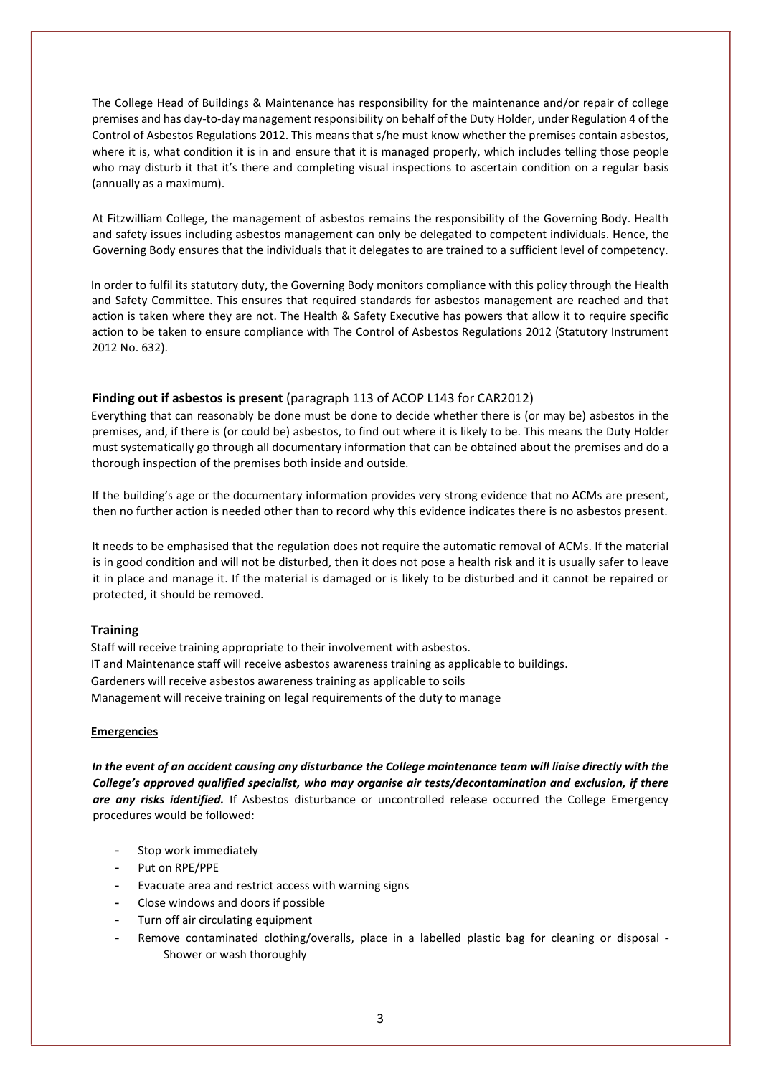The College Head of Buildings & Maintenance has responsibility for the maintenance and/or repair of college premises and has day-to-day management responsibility on behalf of the Duty Holder, under Regulation 4 of the Control of Asbestos Regulations 2012. This means that s/he must know whether the premises contain asbestos, where it is, what condition it is in and ensure that it is managed properly, which includes telling those people who may disturb it that it's there and completing visual inspections to ascertain condition on a regular basis (annually as a maximum).

At Fitzwilliam College, the management of asbestos remains the responsibility of the Governing Body. Health and safety issues including asbestos management can only be delegated to competent individuals. Hence, the Governing Body ensures that the individuals that it delegates to are trained to a sufficient level of competency.

In order to fulfil its statutory duty, the Governing Body monitors compliance with this policy through the Health and Safety Committee. This ensures that required standards for asbestos management are reached and that action is taken where they are not. The Health & Safety Executive has powers that allow it to require specific action to be taken to ensure compliance with The Control of Asbestos Regulations 2012 (Statutory Instrument 2012 No. 632).

## Finding out if asbestos is present (paragraph 113 of ACOP L143 for CAR2012)

Everything that can reasonably be done must be done to decide whether there is (or may be) asbestos in the premises, and, if there is (or could be) asbestos, to find out where it is likely to be. This means the Duty Holder must systematically go through all documentary information that can be obtained about the premises and do a thorough inspection of the premises both inside and outside.

If the building's age or the documentary information provides very strong evidence that no ACMs are present, then no further action is needed other than to record why this evidence indicates there is no asbestos present.

It needs to be emphasised that the regulation does not require the automatic removal of ACMs. If the material is in good condition and will not be disturbed, then it does not pose a health risk and it is usually safer to leave it in place and manage it. If the material is damaged or is likely to be disturbed and it cannot be repaired or protected, it should be removed.

# **Training**

Staff will receive training appropriate to their involvement with asbestos. IT and Maintenance staff will receive asbestos awareness training as applicable to buildings. Gardeners will receive asbestos awareness training as applicable to soils Management will receive training on legal requirements of the duty to manage

### Emergencies

In the event of an accident causing any disturbance the College maintenance team will liaise directly with the College's approved qualified specialist, who may organise air tests/decontamination and exclusion, if there are any risks identified. If Asbestos disturbance or uncontrolled release occurred the College Emergency procedures would be followed:

- Stop work immediately
- Put on RPE/PPE
- Evacuate area and restrict access with warning signs
- Close windows and doors if possible
- Turn off air circulating equipment
- Remove contaminated clothing/overalls, place in a labelled plastic bag for cleaning or disposal -Shower or wash thoroughly